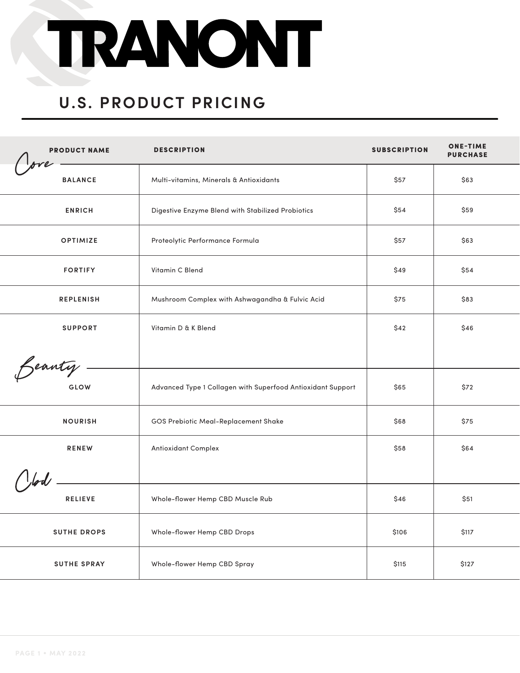# TRANONT

### **U.S. PRODUCT PRICING**

| <b>PRODUCT NAME</b> | <b>DESCRIPTION</b>                                          | <b>SUBSCRIPTION</b> | <b>ONE-TIME</b><br><b>PURCHASE</b> |
|---------------------|-------------------------------------------------------------|---------------------|------------------------------------|
| <b>BALANCE</b>      | Multi-vitamins, Minerals & Antioxidants                     | \$57                | \$63                               |
| <b>ENRICH</b>       | Digestive Enzyme Blend with Stabilized Probiotics           | \$54                | \$59                               |
| <b>OPTIMIZE</b>     | Proteolytic Performance Formula                             | \$57                | \$63                               |
| <b>FORTIFY</b>      | Vitamin C Blend                                             | \$49                | \$54                               |
| <b>REPLENISH</b>    | Mushroom Complex with Ashwagandha & Fulvic Acid             | \$75                | \$83                               |
| <b>SUPPORT</b>      | Vitamin D & K Blend                                         | \$42                | \$46                               |
| Beauty.             |                                                             |                     |                                    |
| GLOW                | Advanced Type 1 Collagen with Superfood Antioxidant Support | \$65                | \$72                               |
| <b>NOURISH</b>      | GOS Prebiotic Meal-Replacement Shake                        | \$68                | \$75                               |
| <b>RENEW</b>        | Antioxidant Complex                                         | \$58                | \$64                               |
|                     |                                                             |                     |                                    |
| <b>RELIEVE</b>      | Whole-flower Hemp CBD Muscle Rub                            | \$46                | \$51                               |
| <b>SUTHE DROPS</b>  | Whole-flower Hemp CBD Drops                                 | \$106               | \$117                              |
| <b>SUTHE SPRAY</b>  | Whole-flower Hemp CBD Spray                                 | \$115               | \$127                              |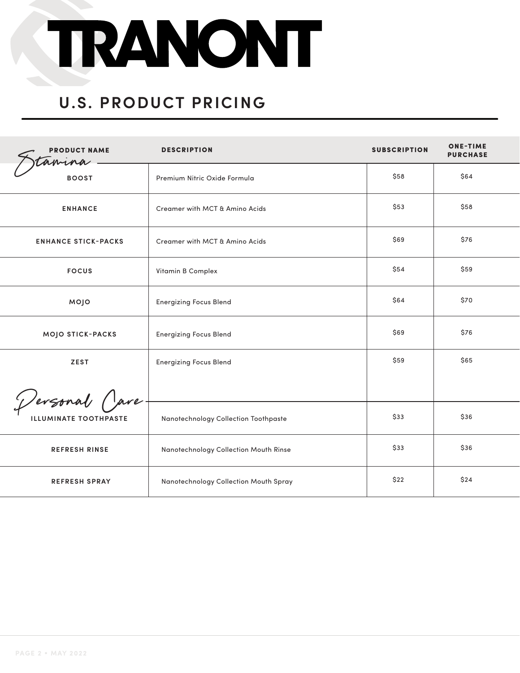

#### **U.S. PRODUCT PRICING**

| <b>PRODUCT NAME</b><br>amina | <b>DESCRIPTION</b>                    | <b>SUBSCRIPTION</b> | <b>ONE-TIME</b><br><b>PURCHASE</b> |
|------------------------------|---------------------------------------|---------------------|------------------------------------|
| <b>BOOST</b>                 | Premium Nitric Oxide Formula          | \$58                | \$64                               |
| <b>ENHANCE</b>               | Creamer with MCT & Amino Acids        | \$53                | \$58                               |
| <b>ENHANCE STICK-PACKS</b>   | Creamer with MCT & Amino Acids        | \$69                | \$76                               |
| <b>FOCUS</b>                 | Vitamin B Complex                     | \$54                | \$59                               |
| MOJO                         | <b>Energizing Focus Blend</b>         | \$64                | \$70                               |
| <b>MOJO STICK-PACKS</b>      | <b>Energizing Focus Blend</b>         | \$69                | \$76                               |
| <b>ZEST</b>                  | <b>Energizing Focus Blend</b>         | \$59                | \$65                               |
| Dersonal Care                |                                       |                     |                                    |
| <b>ILLUMINATE TOOTHPASTE</b> | Nanotechnology Collection Toothpaste  | \$33                | \$36                               |
| <b>REFRESH RINSE</b>         | Nanotechnology Collection Mouth Rinse | \$33                | \$36                               |
| <b>REFRESH SPRAY</b>         | Nanotechnology Collection Mouth Spray | \$22                | \$24                               |